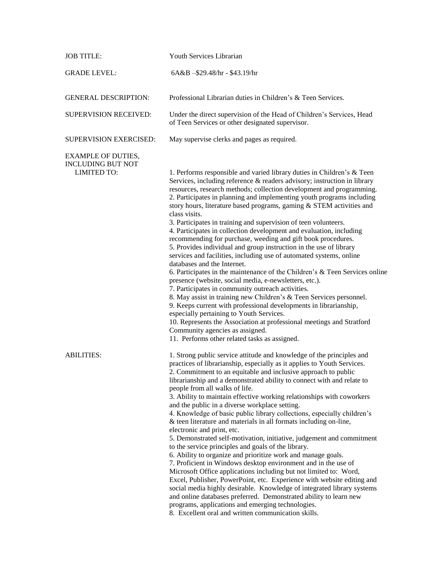| <b>JOB TITLE:</b>                                                           | Youth Services Librarian                                                                                                                                                                                                                                                                                                                                                                                                                                                                                                                                                                                                                                                                                                                                                                                                                                                                                                                                                                                                                                                                                                                                                                                                                                                                                                              |
|-----------------------------------------------------------------------------|---------------------------------------------------------------------------------------------------------------------------------------------------------------------------------------------------------------------------------------------------------------------------------------------------------------------------------------------------------------------------------------------------------------------------------------------------------------------------------------------------------------------------------------------------------------------------------------------------------------------------------------------------------------------------------------------------------------------------------------------------------------------------------------------------------------------------------------------------------------------------------------------------------------------------------------------------------------------------------------------------------------------------------------------------------------------------------------------------------------------------------------------------------------------------------------------------------------------------------------------------------------------------------------------------------------------------------------|
| <b>GRADE LEVEL:</b>                                                         | $6A&B - $29.48/hr - $43.19/hr$                                                                                                                                                                                                                                                                                                                                                                                                                                                                                                                                                                                                                                                                                                                                                                                                                                                                                                                                                                                                                                                                                                                                                                                                                                                                                                        |
| <b>GENERAL DESCRIPTION:</b>                                                 | Professional Librarian duties in Children's & Teen Services.                                                                                                                                                                                                                                                                                                                                                                                                                                                                                                                                                                                                                                                                                                                                                                                                                                                                                                                                                                                                                                                                                                                                                                                                                                                                          |
| <b>SUPERVISION RECEIVED:</b>                                                | Under the direct supervision of the Head of Children's Services, Head<br>of Teen Services or other designated supervisor.                                                                                                                                                                                                                                                                                                                                                                                                                                                                                                                                                                                                                                                                                                                                                                                                                                                                                                                                                                                                                                                                                                                                                                                                             |
| SUPERVISION EXERCISED:                                                      | May supervise clerks and pages as required.                                                                                                                                                                                                                                                                                                                                                                                                                                                                                                                                                                                                                                                                                                                                                                                                                                                                                                                                                                                                                                                                                                                                                                                                                                                                                           |
| <b>EXAMPLE OF DUTIES,</b><br><b>INCLUDING BUT NOT</b><br><b>LIMITED TO:</b> | 1. Performs responsible and varied library duties in Children's & Teen<br>Services, including reference & readers advisory; instruction in library<br>resources, research methods; collection development and programming.<br>2. Participates in planning and implementing youth programs including<br>story hours, literature based programs, gaming & STEM activities and<br>class visits.<br>3. Participates in training and supervision of teen volunteers.<br>4. Participates in collection development and evaluation, including<br>recommending for purchase, weeding and gift book procedures.<br>5. Provides individual and group instruction in the use of library<br>services and facilities, including use of automated systems, online<br>databases and the Internet.<br>6. Participates in the maintenance of the Children's & Teen Services online<br>presence (website, social media, e-newsletters, etc.).<br>7. Participates in community outreach activities.<br>8. May assist in training new Children's & Teen Services personnel.<br>9. Keeps current with professional developments in librarianship,<br>especially pertaining to Youth Services.<br>10. Represents the Association at professional meetings and Stratford<br>Community agencies as assigned.<br>11. Performs other related tasks as assigned. |
| <b>ABILITIES:</b>                                                           | 1. Strong public service attitude and knowledge of the principles and<br>practices of librarianship, especially as it applies to Youth Services.<br>2. Commitment to an equitable and inclusive approach to public<br>librarianship and a demonstrated ability to connect with and relate to<br>people from all walks of life.<br>3. Ability to maintain effective working relationships with coworkers<br>and the public in a diverse workplace setting.<br>4. Knowledge of basic public library collections, especially children's<br>& teen literature and materials in all formats including on-line,<br>electronic and print, etc.<br>5. Demonstrated self-motivation, initiative, judgement and commitment<br>to the service principles and goals of the library.<br>6. Ability to organize and prioritize work and manage goals.<br>7. Proficient in Windows desktop environment and in the use of<br>Microsoft Office applications including but not limited to: Word,<br>Excel, Publisher, PowerPoint, etc. Experience with website editing and<br>social media highly desirable. Knowledge of integrated library systems<br>and online databases preferred. Demonstrated ability to learn new<br>programs, applications and emerging technologies.<br>8. Excellent oral and written communication skills.                   |